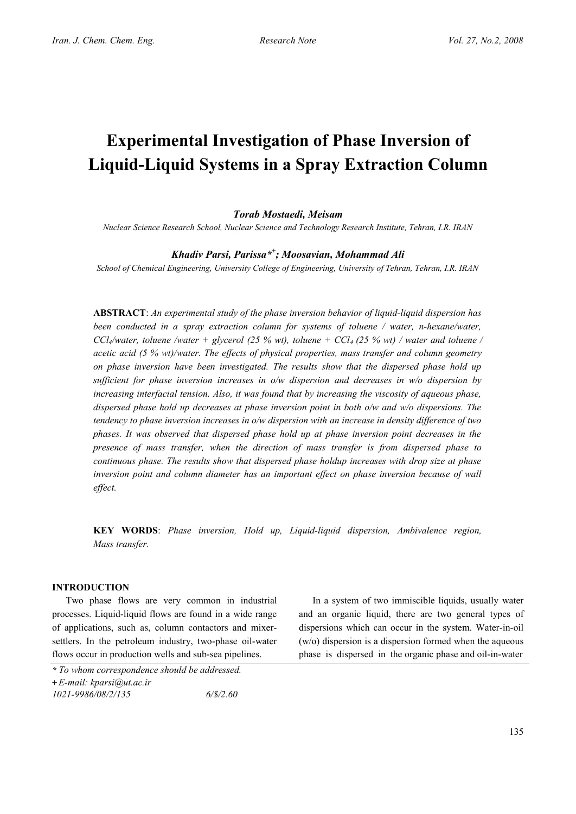# **Experimental Investigation of Phase Inversion of Liquid-Liquid Systems in a Spray Extraction Column**

# *Torab Mostaedi, Meisam*

*Nuclear Science Research School, Nuclear Science and Technology Research Institute, Tehran, I.R. IRAN*

# *Khadiv Parsi, Parissa\*<sup>+</sup> ; Moosavian, Mohammad Ali*

*School of Chemical Engineering, University College of Engineering, University of Tehran, Tehran, I.R. IRAN*

**ABSTRACT**: *An experimental study of the phase inversion behavior of liquid-liquid dispersion has been conducted in a spray extraction column for systems of toluene / water, n-hexane/water,*   $CCl<sub>4</sub>/water$ , toluene /water + glycerol (25 % wt), toluene +  $CCl<sub>4</sub>$  (25 % wt) / water and toluene / *acetic acid (5 % wt)/water. The effects of physical properties, mass transfer and column geometry on phase inversion have been investigated. The results show that the dispersed phase hold up sufficient for phase inversion increases in o/w dispersion and decreases in w/o dispersion by increasing interfacial tension. Also, it was found that by increasing the viscosity of aqueous phase, dispersed phase hold up decreases at phase inversion point in both o/w and w/o dispersions. The tendency to phase inversion increases in o/w dispersion with an increase in density difference of two phases. It was observed that dispersed phase hold up at phase inversion point decreases in the presence of mass transfer, when the direction of mass transfer is from dispersed phase to continuous phase. The results show that dispersed phase holdup increases with drop size at phase inversion point and column diameter has an important effect on phase inversion because of wall effect.* 

**KEY WORDS**: *Phase inversion, Hold up, Liquid-liquid dispersion, Ambivalence region, Mass transfer.*

# **INTRODUCTION**

Two phase flows are very common in industrial processes. Liquid-liquid flows are found in a wide range of applications, such as, column contactors and mixersettlers. In the petroleum industry, two-phase oil-water flows occur in production wells and sub-sea pipelines.

In a system of two immiscible liquids, usually water and an organic liquid, there are two general types of dispersions which can occur in the system. Water-in-oil (w/o) dispersion is a dispersion formed when the aqueous phase is dispersed in the organic phase and oil-in-water

*<sup>\*</sup> To whom correspondence should be addressed.* 

**<sup>+</sup>** *E-mail: kparsi@ut.ac.ir* 

*<sup>1021-9986/08/2/135 6/\$/2.60</sup>*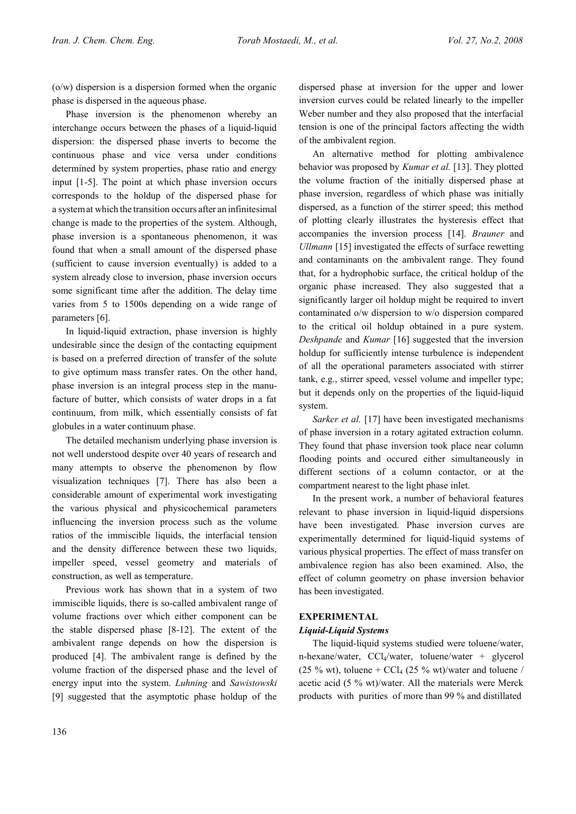(o/w) dispersion is a dispersion formed when the organic phase is dispersed in the aqueous phase.

Phase inversion is the phenomenon whereby an interchange occurs between the phases of a liquid-liquid dispersion: the dispersed phase inverts to become the continuous phase and vice versa under conditions determined by system properties, phase ratio and energy input [1-5]. The point at which phase inversion occurs corresponds to the holdup of the dispersed phase for a systemat which the transition occurs after an infinitesimal change is made to the properties of the system. Although, phase inversion is a spontaneous phenomenon, it was found that when a small amount of the dispersed phase (sufficient to cause inversion eventually) is added to a system already close to inversion, phase inversion occurs some significant time after the addition. The delay time varies from 5 to 1500s depending on a wide range of parameters [6].

In liquid-liquid extraction, phase inversion is highly undesirable since the design of the contacting equipment is based on a preferred direction of transfer of the solute to give optimum mass transfer rates. On the other hand, phase inversion is an integral process step in the manufacture of butter, which consists of water drops in a fat continuum, from milk, which essentially consists of fat globules in a water continuum phase.

The detailed mechanism underlying phase inversion is not well understood despite over 40 years of research and many attempts to observe the phenomenon by flow visualization techniques [7]. There has also been a considerable amount of experimental work investigating the various physical and physicochemical parameters influencing the inversion process such as the volume ratios of the immiscible liquids, the interfacial tension and the density difference between these two liquids, impeller speed, vessel geometry and materials of construction, as well as temperature.

Previous work has shown that in a system of two immiscible liquids, there is so-called ambivalent range of volume fractions over which either component can be the stable dispersed phase [8-12]. The extent of the ambivalent range depends on how the dispersion is produced [4]. The ambivalent range is defined by the volume fraction of the dispersed phase and the level of energy input into the system. *Luhning* and *Sawistowski* [9] suggested that the asymptotic phase holdup of the

dispersed phase at inversion for the upper and lower inversion curves could be related linearly to the impeller Weber number and they also proposed that the interfacial tension is one of the principal factors affecting the width of the ambivalent region.

An alternative method for plotting ambivalence behavior was proposed by *Kumar et al.* [13]. They plotted the volume fraction of the initially dispersed phase at phase inversion, regardless of which phase was initially dispersed, as a function of the stirrer speed; this method of plotting clearly illustrates the hysteresis effect that accompanies the inversion process [14]. *Brauner* and *Ullmann* [15] investigated the effects of surface rewetting and contaminants on the ambivalent range. They found that, for a hydrophobic surface, the critical holdup of the organic phase increased. They also suggested that a significantly larger oil holdup might be required to invert contaminated o/w dispersion to w/o dispersion compared to the critical oil holdup obtained in a pure system. *Deshpande* and *Kumar* [16] suggested that the inversion holdup for sufficiently intense turbulence is independent of all the operational parameters associated with stirrer tank, e.g., stirrer speed, vessel volume and impeller type; but it depends only on the properties of the liquid-liquid system.

*Sarker et al.* [17] have been investigated mechanisms of phase inversion in a rotary agitated extraction column. They found that phase inversion took place near column flooding points and occured either simultaneously in different sections of a column contactor, or at the compartment nearest to the light phase inlet.

In the present work, a number of behavioral features relevant to phase inversion in liquid-liquid dispersions have been investigated. Phase inversion curves are experimentally determined for liquid-liquid systems of various physical properties. The effect of mass transfer on ambivalence region has also been examined. Also, the effect of column geometry on phase inversion behavior has been investigated.

# **EXPERIMENTAL**

#### *Liquid-Liquid Systems*

The liquid-liquid systems studied were toluene/water, n-hexane/water,  $CCl_4$ /water, toluene/water + glycerol (25 % wt), toluene +  $\text{CCl}_4$  (25 % wt)/water and toluene / acetic acid (5 % wt)/water. All the materials were Merck products with purities of more than 99 % and distillated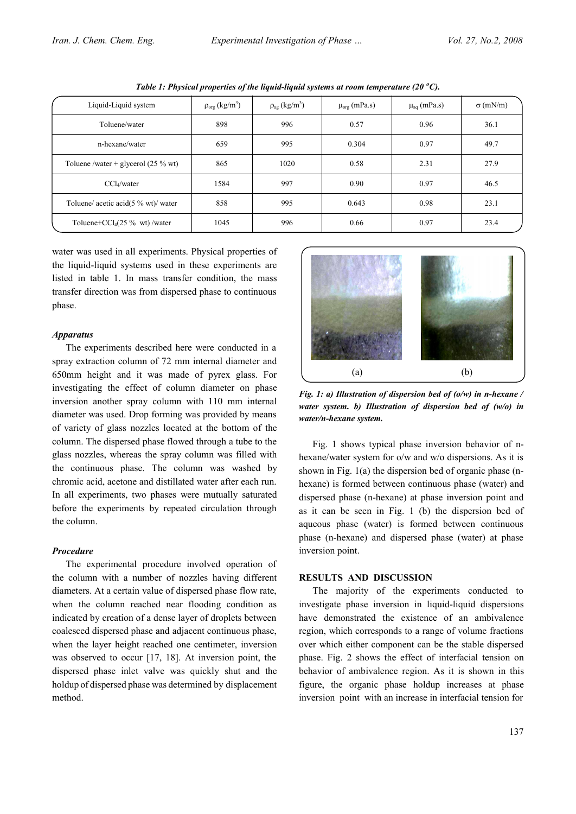| Liquid-Liquid system                          | $\rho_{org}$ (kg/m <sup>3</sup> ) | $\rho_{\rm ag}$ (kg/m <sup>3</sup> ) | $\mu_{\text{org}}$ (mPa.s) | $\mu_{aq}$ (mPa.s) | $\sigma$ (mN/m) |
|-----------------------------------------------|-----------------------------------|--------------------------------------|----------------------------|--------------------|-----------------|
| Toluene/water                                 | 898                               | 996                                  | 0.57                       | 0.96               | 36.1            |
| n-hexane/water                                | 659                               | 995                                  | 0.304                      | 0.97               | 49.7            |
| Toluene /water + glycerol $(25\% \text{ wt})$ | 865                               | 1020                                 | 0.58                       | 2.31               | 27.9            |
| $CCl_{4}/water$                               | 1584                              | 997                                  | 0.90                       | 0.97               | 46.5            |
| Toluene/ acetic acid( $5\%$ wt)/ water        | 858                               | 995                                  | 0.643                      | 0.98               | 23.1            |
| Toluene+ $CCl_4(25\%$ wt)/water               | 1045                              | 996                                  | 0.66                       | 0.97               | 23.4            |

*Table 1: Physical properties of the liquid-liquid systems at room temperature (20 °C).* 

water was used in all experiments. Physical properties of the liquid-liquid systems used in these experiments are listed in table 1. In mass transfer condition, the mass transfer direction was from dispersed phase to continuous phase.

#### *Apparatus*

The experiments described here were conducted in a spray extraction column of 72 mm internal diameter and 650mm height and it was made of pyrex glass. For investigating the effect of column diameter on phase inversion another spray column with 110 mm internal diameter was used. Drop forming was provided by means of variety of glass nozzles located at the bottom of the column. The dispersed phase flowed through a tube to the glass nozzles, whereas the spray column was filled with the continuous phase. The column was washed by chromic acid, acetone and distillated water after each run. In all experiments, two phases were mutually saturated before the experiments by repeated circulation through the column.

#### *Procedure*

The experimental procedure involved operation of the column with a number of nozzles having different diameters. At a certain value of dispersed phase flow rate, when the column reached near flooding condition as indicated by creation of a dense layer of droplets between coalesced dispersed phase and adjacent continuous phase, when the layer height reached one centimeter, inversion was observed to occur [17, 18]. At inversion point, the dispersed phase inlet valve was quickly shut and the holdup of dispersed phase was determined by displacement method.



*Fig. 1: a) Illustration of dispersion bed of (o/w) in n-hexane / water system. b) Illustration of dispersion bed of (w/o) in water/n-hexane system.*

Fig. 1 shows typical phase inversion behavior of nhexane/water system for o/w and w/o dispersions. As it is shown in Fig. 1(a) the dispersion bed of organic phase (nhexane) is formed between continuous phase (water) and dispersed phase (n-hexane) at phase inversion point and as it can be seen in Fig. 1 (b) the dispersion bed of aqueous phase (water) is formed between continuous phase (n-hexane) and dispersed phase (water) at phase inversion point.

#### **RESULTS AND DISCUSSION**

The majority of the experiments conducted to investigate phase inversion in liquid-liquid dispersions have demonstrated the existence of an ambivalence region, which corresponds to a range of volume fractions over which either component can be the stable dispersed phase. Fig. 2 shows the effect of interfacial tension on behavior of ambivalence region. As it is shown in this figure, the organic phase holdup increases at phase inversion point with an increase in interfacial tension for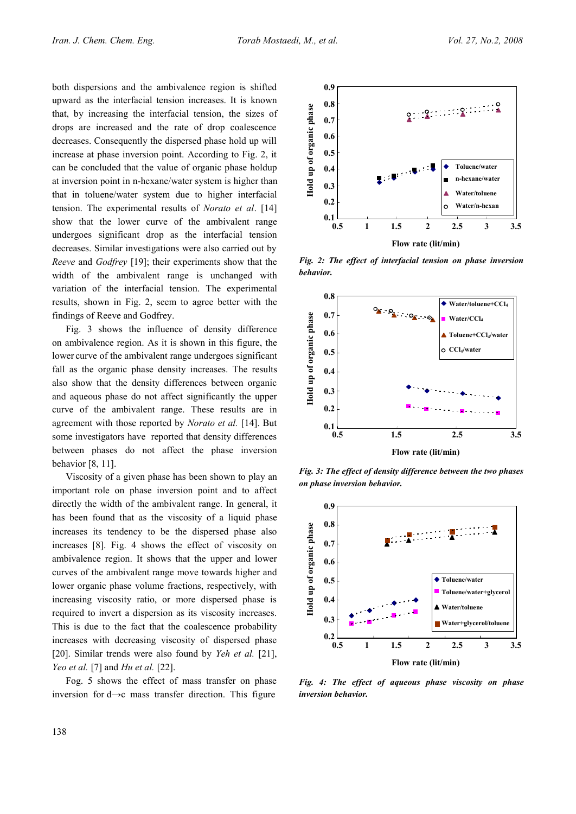both dispersions and the ambivalence region is shifted upward as the interfacial tension increases. It is known that, by increasing the interfacial tension, the sizes of drops are increased and the rate of drop coalescence decreases. Consequently the dispersed phase hold up will increase at phase inversion point. According to Fig. 2, it can be concluded that the value of organic phase holdup at inversion point in n-hexane/water system is higher than that in toluene/water system due to higher interfacial tension. The experimental results of *Norato et al*. [14] show that the lower curve of the ambivalent range undergoes significant drop as the interfacial tension decreases. Similar investigations were also carried out by *Reeve* and *Godfrey* [19]; their experiments show that the width of the ambivalent range is unchanged with variation of the interfacial tension. The experimental results, shown in Fig. 2, seem to agree better with the findings of Reeve and Godfrey.

Fig. 3 shows the influence of density difference on ambivalence region. As it is shown in this figure, the lower curve of the ambivalent range undergoes significant fall as the organic phase density increases. The results also show that the density differences between organic and aqueous phase do not affect significantly the upper curve of the ambivalent range. These results are in agreement with those reported by *Norato et al.* [14]. But some investigators have reported that density differences between phases do not affect the phase inversion behavior [8, 11].

Viscosity of a given phase has been shown to play an important role on phase inversion point and to affect directly the width of the ambivalent range. In general, it has been found that as the viscosity of a liquid phase increases its tendency to be the dispersed phase also increases [8]. Fig. 4 shows the effect of viscosity on ambivalence region. It shows that the upper and lower curves of the ambivalent range move towards higher and lower organic phase volume fractions, respectively, with increasing viscosity ratio, or more dispersed phase is required to invert a dispersion as its viscosity increases. This is due to the fact that the coalescence probability increases with decreasing viscosity of dispersed phase [20]. Similar trends were also found by *Yeh et al.* [21], *Yeo et al.* [7] and *Hu et al.* [22].

Fog. 5 shows the effect of mass transfer on phase inversion for d→c mass transfer direction. This figure



*Fig. 2: The effect of interfacial tension on phase inversion behavior.*



*Fig. 3: The effect of density difference between the two phases on phase inversion behavior.*



*Fig. 4: The effect of aqueous phase viscosity on phase inversion behavior.*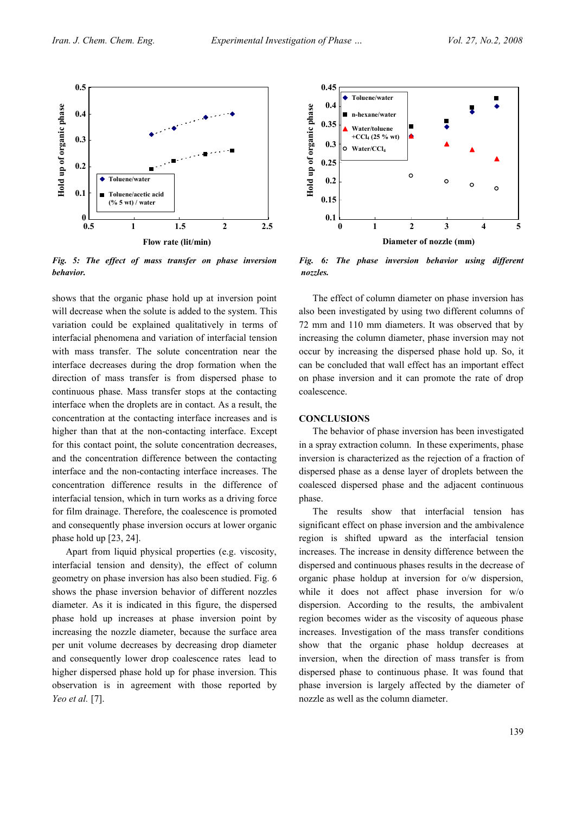

*Fig. 5: The effect of mass transfer on phase inversion behavior.*

shows that the organic phase hold up at inversion point will decrease when the solute is added to the system. This variation could be explained qualitatively in terms of interfacial phenomena and variation of interfacial tension with mass transfer. The solute concentration near the interface decreases during the drop formation when the direction of mass transfer is from dispersed phase to continuous phase. Mass transfer stops at the contacting interface when the droplets are in contact. As a result, the concentration at the contacting interface increases and is higher than that at the non-contacting interface. Except for this contact point, the solute concentration decreases, and the concentration difference between the contacting interface and the non-contacting interface increases. The concentration difference results in the difference of interfacial tension, which in turn works as a driving force for film drainage. Therefore, the coalescence is promoted and consequently phase inversion occurs at lower organic phase hold up [23, 24].

Apart from liquid physical properties (e.g. viscosity, interfacial tension and density), the effect of column geometry on phase inversion has also been studied. Fig. 6 shows the phase inversion behavior of different nozzles diameter. As it is indicated in this figure, the dispersed phase hold up increases at phase inversion point by increasing the nozzle diameter, because the surface area per unit volume decreases by decreasing drop diameter and consequently lower drop coalescence rates lead to higher dispersed phase hold up for phase inversion. This observation is in agreement with those reported by *Yeo et al.* [7].



*Fig. 6: The phase inversion behavior using different nozzles.*

The effect of column diameter on phase inversion has also been investigated by using two different columns of 72 mm and 110 mm diameters. It was observed that by increasing the column diameter, phase inversion may not occur by increasing the dispersed phase hold up. So, it can be concluded that wall effect has an important effect on phase inversion and it can promote the rate of drop coalescence.

#### **CONCLUSIONS**

The behavior of phase inversion has been investigated in a spray extraction column. In these experiments, phase inversion is characterized as the rejection of a fraction of dispersed phase as a dense layer of droplets between the coalesced dispersed phase and the adjacent continuous phase.

The results show that interfacial tension has significant effect on phase inversion and the ambivalence region is shifted upward as the interfacial tension increases. The increase in density difference between the dispersed and continuous phases results in the decrease of organic phase holdup at inversion for o/w dispersion, while it does not affect phase inversion for w/o dispersion. According to the results, the ambivalent region becomes wider as the viscosity of aqueous phase increases. Investigation of the mass transfer conditions show that the organic phase holdup decreases at inversion, when the direction of mass transfer is from dispersed phase to continuous phase. It was found that phase inversion is largely affected by the diameter of nozzle as well as the column diameter.